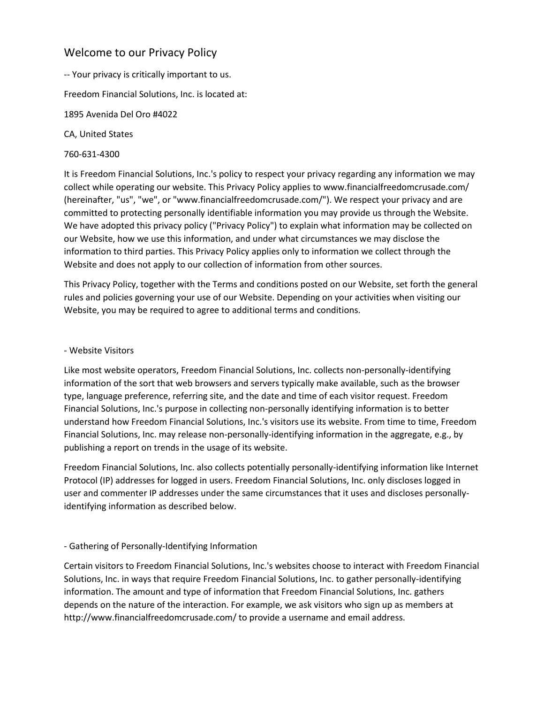# Welcome to our Privacy Policy

-- Your privacy is critically important to us.

Freedom Financial Solutions, Inc. is located at:

1895 Avenida Del Oro #4022

CA, United States

# 760-631-4300

It is Freedom Financial Solutions, Inc.'s policy to respect your privacy regarding any information we may collect while operating our website. This Privacy Policy applies to www.financialfreedomcrusade.com/ (hereinafter, "us", "we", or "www.financialfreedomcrusade.com/"). We respect your privacy and are committed to protecting personally identifiable information you may provide us through the Website. We have adopted this privacy policy ("Privacy Policy") to explain what information may be collected on our Website, how we use this information, and under what circumstances we may disclose the information to third parties. This Privacy Policy applies only to information we collect through the Website and does not apply to our collection of information from other sources.

This Privacy Policy, together with the Terms and conditions posted on our Website, set forth the general rules and policies governing your use of our Website. Depending on your activities when visiting our Website, you may be required to agree to additional terms and conditions.

# - Website Visitors

Like most website operators, Freedom Financial Solutions, Inc. collects non-personally-identifying information of the sort that web browsers and servers typically make available, such as the browser type, language preference, referring site, and the date and time of each visitor request. Freedom Financial Solutions, Inc.'s purpose in collecting non-personally identifying information is to better understand how Freedom Financial Solutions, Inc.'s visitors use its website. From time to time, Freedom Financial Solutions, Inc. may release non-personally-identifying information in the aggregate, e.g., by publishing a report on trends in the usage of its website.

Freedom Financial Solutions, Inc. also collects potentially personally-identifying information like Internet Protocol (IP) addresses for logged in users. Freedom Financial Solutions, Inc. only discloses logged in user and commenter IP addresses under the same circumstances that it uses and discloses personallyidentifying information as described below.

# - Gathering of Personally-Identifying Information

Certain visitors to Freedom Financial Solutions, Inc.'s websites choose to interact with Freedom Financial Solutions, Inc. in ways that require Freedom Financial Solutions, Inc. to gather personally-identifying information. The amount and type of information that Freedom Financial Solutions, Inc. gathers depends on the nature of the interaction. For example, we ask visitors who sign up as members at http://www.financialfreedomcrusade.com/ to provide a username and email address.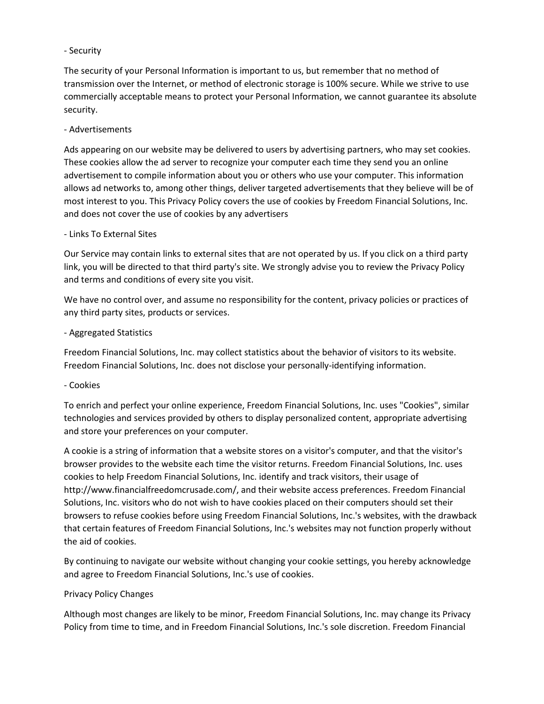#### - Security

The security of your Personal Information is important to us, but remember that no method of transmission over the Internet, or method of electronic storage is 100% secure. While we strive to use commercially acceptable means to protect your Personal Information, we cannot guarantee its absolute security.

#### - Advertisements

Ads appearing on our website may be delivered to users by advertising partners, who may set cookies. These cookies allow the ad server to recognize your computer each time they send you an online advertisement to compile information about you or others who use your computer. This information allows ad networks to, among other things, deliver targeted advertisements that they believe will be of most interest to you. This Privacy Policy covers the use of cookies by Freedom Financial Solutions, Inc. and does not cover the use of cookies by any advertisers

#### - Links To External Sites

Our Service may contain links to external sites that are not operated by us. If you click on a third party link, you will be directed to that third party's site. We strongly advise you to review the Privacy Policy and terms and conditions of every site you visit.

We have no control over, and assume no responsibility for the content, privacy policies or practices of any third party sites, products or services.

# - Aggregated Statistics

Freedom Financial Solutions, Inc. may collect statistics about the behavior of visitors to its website. Freedom Financial Solutions, Inc. does not disclose your personally-identifying information.

#### - Cookies

To enrich and perfect your online experience, Freedom Financial Solutions, Inc. uses "Cookies", similar technologies and services provided by others to display personalized content, appropriate advertising and store your preferences on your computer.

A cookie is a string of information that a website stores on a visitor's computer, and that the visitor's browser provides to the website each time the visitor returns. Freedom Financial Solutions, Inc. uses cookies to help Freedom Financial Solutions, Inc. identify and track visitors, their usage of http://www.financialfreedomcrusade.com/, and their website access preferences. Freedom Financial Solutions, Inc. visitors who do not wish to have cookies placed on their computers should set their browsers to refuse cookies before using Freedom Financial Solutions, Inc.'s websites, with the drawback that certain features of Freedom Financial Solutions, Inc.'s websites may not function properly without the aid of cookies.

By continuing to navigate our website without changing your cookie settings, you hereby acknowledge and agree to Freedom Financial Solutions, Inc.'s use of cookies.

#### Privacy Policy Changes

Although most changes are likely to be minor, Freedom Financial Solutions, Inc. may change its Privacy Policy from time to time, and in Freedom Financial Solutions, Inc.'s sole discretion. Freedom Financial